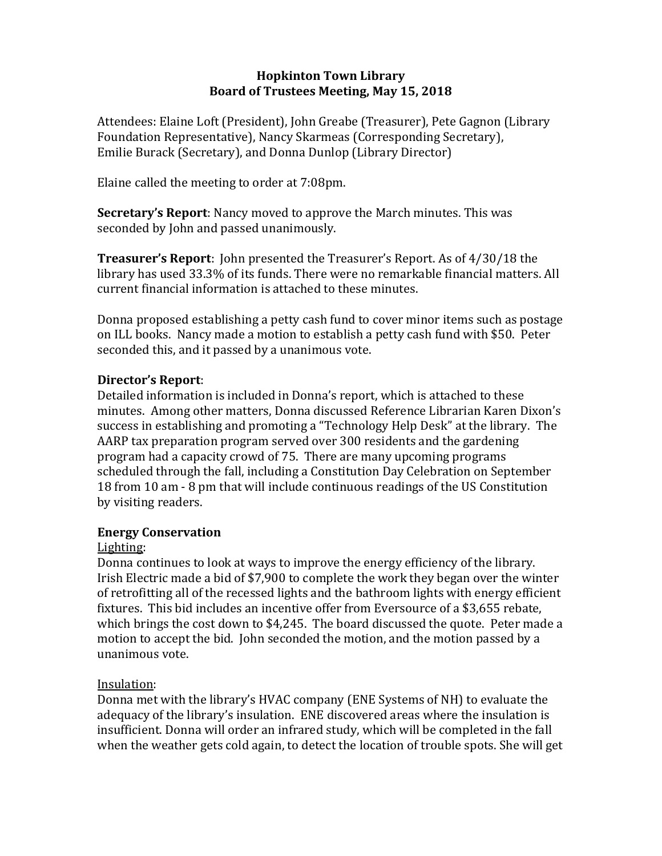### **Hopkinton Town Library Board of Trustees Meeting, May 15, 2018**

Attendees: Elaine Loft (President), John Greabe (Treasurer), Pete Gagnon (Library Foundation Representative), Nancy Skarmeas (Corresponding Secretary), Emilie Burack (Secretary), and Donna Dunlop (Library Director)

Elaine called the meeting to order at 7:08pm.

**Secretary's Report**: Nancy moved to approve the March minutes. This was seconded by John and passed unanimously.

**Treasurer's Report**: John presented the Treasurer's Report. As of 4/30/18 the library has used 33.3% of its funds. There were no remarkable financial matters. All current financial information is attached to these minutes.

Donna proposed establishing a petty cash fund to cover minor items such as postage on ILL books. Nancy made a motion to establish a petty cash fund with \$50. Peter seconded this, and it passed by a unanimous vote.

### **Director's Report**:

Detailed information is included in Donna's report, which is attached to these minutes. Among other matters, Donna discussed Reference Librarian Karen Dixon's success in establishing and promoting a "Technology Help Desk" at the library. The AARP tax preparation program served over 300 residents and the gardening program had a capacity crowd of 75. There are many upcoming programs scheduled through the fall, including a Constitution Day Celebration on September 18 from 10 am - 8 pm that will include continuous readings of the US Constitution by visiting readers.

# **Energy Conservation**

# Lighting:

Donna continues to look at ways to improve the energy efficiency of the library. Irish Electric made a bid of \$7,900 to complete the work they began over the winter of retrofitting all of the recessed lights and the bathroom lights with energy efficient fixtures. This bid includes an incentive offer from Eversource of a \$3,655 rebate, which brings the cost down to \$4,245. The board discussed the quote. Peter made a motion to accept the bid. John seconded the motion, and the motion passed by a unanimous vote.

# Insulation:

Donna met with the library's HVAC company (ENE Systems of NH) to evaluate the adequacy of the library's insulation. ENE discovered areas where the insulation is insufficient. Donna will order an infrared study, which will be completed in the fall when the weather gets cold again, to detect the location of trouble spots. She will get